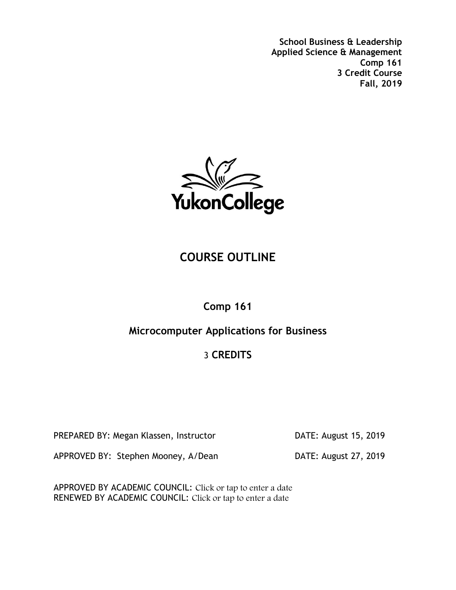

# **COURSE OUTLINE**

## **Comp 161**

## **Microcomputer Applications for Business**

# 3 **CREDITS**

PREPARED BY: Megan Klassen, Instructor **DATE: August 15, 2019** 

APPROVED BY: Stephen Mooney, A/Dean DATE: August 27, 2019

APPROVED BY ACADEMIC COUNCIL: Click or tap to enter a date RENEWED BY ACADEMIC COUNCIL: Click or tap to enter a date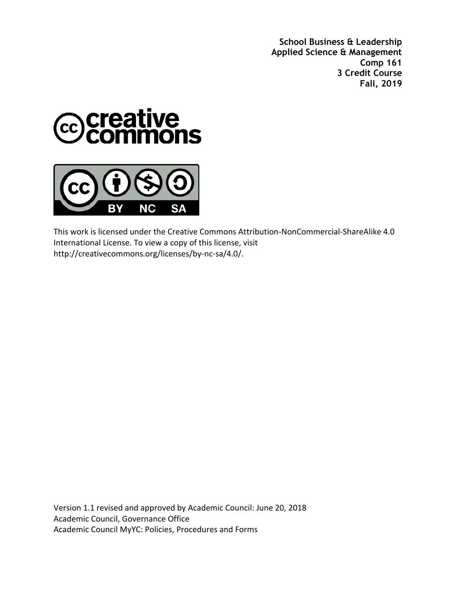



This work is licensed under the Creative Commons Attribution-NonCommercial-ShareAlike 4.0 International License. To view a copy of this license, visit http://creativecommons.org/licenses/by-nc-sa/4.0/.

Version 1.1 revised and approved by Academic Council: June 20, 2018 Academic Council, Governance Office Academic Council MyYC: Policies, Procedures and Forms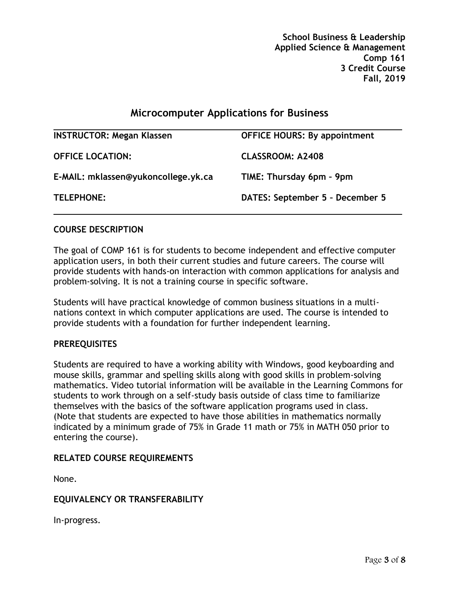## **Microcomputer Applications for Business**

| <b>OFFICE HOURS: By appointment</b> |
|-------------------------------------|
| <b>CLASSROOM: A2408</b>             |
| TIME: Thursday 6pm - 9pm            |
| DATES: September 5 - December 5     |
|                                     |

### **COURSE DESCRIPTION**

The goal of COMP 161 is for students to become independent and effective computer application users, in both their current studies and future careers. The course will provide students with hands-on interaction with common applications for analysis and problem-solving. It is not a training course in specific software.

Students will have practical knowledge of common business situations in a multinations context in which computer applications are used. The course is intended to provide students with a foundation for further independent learning.

#### **PREREQUISITES**

Students are required to have a working ability with Windows, good keyboarding and mouse skills, grammar and spelling skills along with good skills in problem-solving mathematics. Video tutorial information will be available in the Learning Commons for students to work through on a self-study basis outside of class time to familiarize themselves with the basics of the software application programs used in class. (Note that students are expected to have those abilities in mathematics normally indicated by a minimum grade of 75% in Grade 11 math or 75% in MATH 050 prior to entering the course).

## **RELATED COURSE REQUIREMENTS**

None.

## **EQUIVALENCY OR TRANSFERABILITY**

In-progress.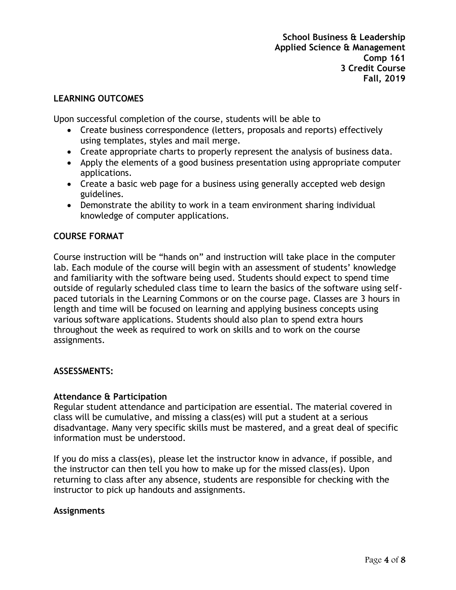### **LEARNING OUTCOMES**

Upon successful completion of the course, students will be able to

- Create business correspondence (letters, proposals and reports) effectively using templates, styles and mail merge.
- Create appropriate charts to properly represent the analysis of business data.
- Apply the elements of a good business presentation using appropriate computer applications.
- Create a basic web page for a business using generally accepted web design guidelines.
- Demonstrate the ability to work in a team environment sharing individual knowledge of computer applications.

### **COURSE FORMAT**

Course instruction will be "hands on" and instruction will take place in the computer lab. Each module of the course will begin with an assessment of students' knowledge and familiarity with the software being used. Students should expect to spend time outside of regularly scheduled class time to learn the basics of the software using selfpaced tutorials in the Learning Commons or on the course page. Classes are 3 hours in length and time will be focused on learning and applying business concepts using various software applications. Students should also plan to spend extra hours throughout the week as required to work on skills and to work on the course assignments.

#### **ASSESSMENTS:**

#### **Attendance & Participation**

Regular student attendance and participation are essential. The material covered in class will be cumulative, and missing a class(es) will put a student at a serious disadvantage. Many very specific skills must be mastered, and a great deal of specific information must be understood.

If you do miss a class(es), please let the instructor know in advance, if possible, and the instructor can then tell you how to make up for the missed class(es). Upon returning to class after any absence, students are responsible for checking with the instructor to pick up handouts and assignments.

#### **Assignments**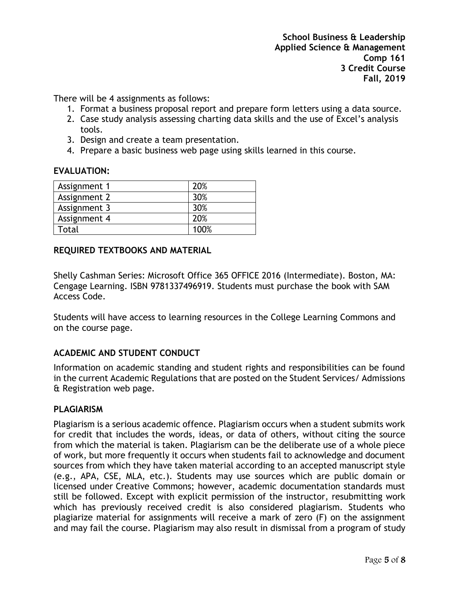There will be 4 assignments as follows:

- 1. Format a business proposal report and prepare form letters using a data source.
- 2. Case study analysis assessing charting data skills and the use of Excel's analysis tools.
- 3. Design and create a team presentation.
- 4. Prepare a basic business web page using skills learned in this course.

## **EVALUATION:**

| Assignment 1 | 20%  |
|--------------|------|
| Assignment 2 | 30%  |
| Assignment 3 | 30%  |
| Assignment 4 | 20%  |
| Total        | 100% |

## **REQUIRED TEXTBOOKS AND MATERIAL**

Shelly Cashman Series: Microsoft Office 365 OFFICE 2016 (Intermediate). Boston, MA: Cengage Learning. ISBN 9781337496919. Students must purchase the book with SAM Access Code.

Students will have access to learning resources in the College Learning Commons and on the course page.

## **ACADEMIC AND STUDENT CONDUCT**

Information on academic standing and student rights and responsibilities can be found in the current Academic Regulations that are posted on the Student Services/ Admissions & Registration web page.

## **PLAGIARISM**

Plagiarism is a serious academic offence. Plagiarism occurs when a student submits work for credit that includes the words, ideas, or data of others, without citing the source from which the material is taken. Plagiarism can be the deliberate use of a whole piece of work, but more frequently it occurs when students fail to acknowledge and document sources from which they have taken material according to an accepted manuscript style (e.g., APA, CSE, MLA, etc.). Students may use sources which are public domain or licensed under Creative Commons; however, academic documentation standards must still be followed. Except with explicit permission of the instructor, resubmitting work which has previously received credit is also considered plagiarism. Students who plagiarize material for assignments will receive a mark of zero (F) on the assignment and may fail the course. Plagiarism may also result in dismissal from a program of study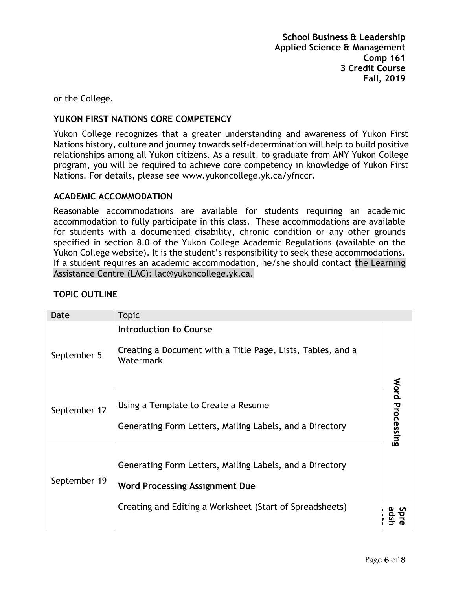or the College.

## **YUKON FIRST NATIONS CORE COMPETENCY**

Yukon College recognizes that a greater understanding and awareness of Yukon First Nations history, culture and journey towards self-determination will help to build positive relationships among all Yukon citizens. As a result, to graduate from ANY Yukon College program, you will be required to achieve core competency in knowledge of Yukon First Nations. For details, please see [www.yukoncollege.yk.ca/yfnccr.](http://www.yukoncollege.yk.ca/yfnccr)

## **ACADEMIC ACCOMMODATION**

Reasonable accommodations are available for students requiring an academic accommodation to fully participate in this class. These accommodations are available for students with a documented disability, chronic condition or any other grounds specified in section 8.0 of the Yukon College Academic Regulations (available on the Yukon College website). It is the student's responsibility to seek these accommodations. If a student requires an academic accommodation, he/she should contact the Learning Assistance Centre (LAC): lac@yukoncollege.yk.ca.

| Date         | <b>Topic</b>                                                                                                                                                  |                 |
|--------------|---------------------------------------------------------------------------------------------------------------------------------------------------------------|-----------------|
| September 5  | <b>Introduction to Course</b><br>Creating a Document with a Title Page, Lists, Tables, and a<br>Watermark                                                     |                 |
| September 12 | Using a Template to Create a Resume<br>Generating Form Letters, Mailing Labels, and a Directory                                                               | Word Processing |
| September 19 | Generating Form Letters, Mailing Labels, and a Directory<br><b>Word Processing Assignment Due</b><br>Creating and Editing a Worksheet (Start of Spreadsheets) |                 |
|              |                                                                                                                                                               |                 |

## **TOPIC OUTLINE**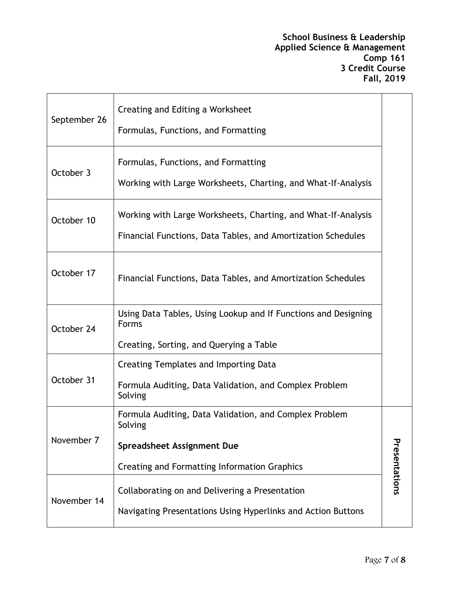| September 26 | Creating and Editing a Worksheet<br>Formulas, Functions, and Formatting                                                       |               |
|--------------|-------------------------------------------------------------------------------------------------------------------------------|---------------|
| October 3    | Formulas, Functions, and Formatting<br>Working with Large Worksheets, Charting, and What-If-Analysis                          |               |
| October 10   | Working with Large Worksheets, Charting, and What-If-Analysis<br>Financial Functions, Data Tables, and Amortization Schedules |               |
| October 17   | Financial Functions, Data Tables, and Amortization Schedules                                                                  |               |
| October 24   | Using Data Tables, Using Lookup and If Functions and Designing<br><b>Forms</b>                                                |               |
|              | Creating, Sorting, and Querying a Table                                                                                       |               |
|              | Creating Templates and Importing Data                                                                                         |               |
| October 31   | Formula Auditing, Data Validation, and Complex Problem<br>Solving                                                             |               |
| November 7   | Formula Auditing, Data Validation, and Complex Problem<br>Solving                                                             |               |
|              | <b>Spreadsheet Assignment Due</b>                                                                                             |               |
|              | <b>Creating and Formatting Information Graphics</b>                                                                           | Presentations |
| November 14  | Collaborating on and Delivering a Presentation<br>Navigating Presentations Using Hyperlinks and Action Buttons                |               |